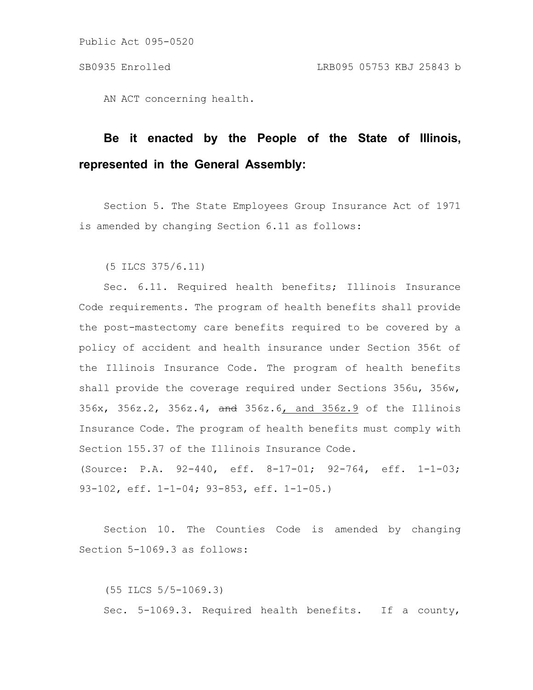AN ACT concerning health.

# **Be it enacted by the People of the State of Illinois, represented in the General Assembly:**

Section 5. The State Employees Group Insurance Act of 1971 is amended by changing Section 6.11 as follows:

(5 ILCS 375/6.11)

Sec. 6.11. Required health benefits; Illinois Insurance Code requirements. The program of health benefits shall provide the post-mastectomy care benefits required to be covered by a policy of accident and health insurance under Section 356t of the Illinois Insurance Code. The program of health benefits shall provide the coverage required under Sections 356u, 356w, 356x, 356z.2, 356z.4, and 356z.6, and 356z.9 of the Illinois Insurance Code. The program of health benefits must comply with Section 155.37 of the Illinois Insurance Code. (Source: P.A. 92-440, eff. 8-17-01; 92-764, eff. 1-1-03;

93-102, eff. 1-1-04; 93-853, eff. 1-1-05.)

Section 10. The Counties Code is amended by changing Section 5-1069.3 as follows:

(55 ILCS 5/5-1069.3) Sec. 5-1069.3. Required health benefits. If a county,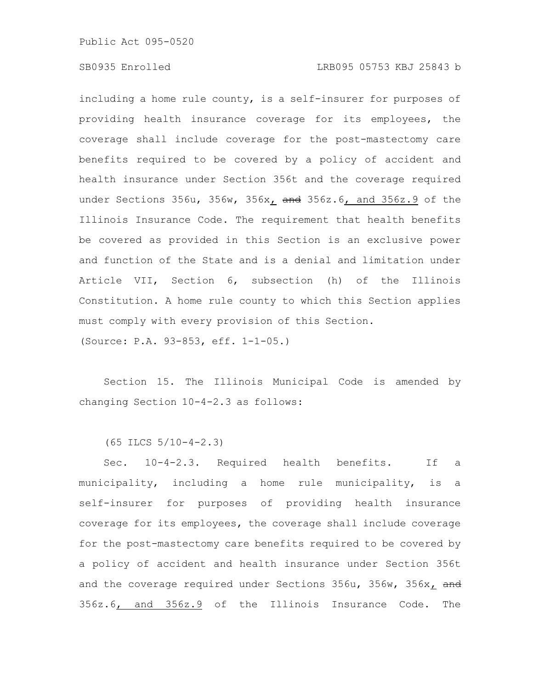#### SB0935 Enrolled LRB095 05753 KBJ 25843 b

including a home rule county, is a self-insurer for purposes of providing health insurance coverage for its employees, the coverage shall include coverage for the post-mastectomy care benefits required to be covered by a policy of accident and health insurance under Section 356t and the coverage required under Sections  $356u$ ,  $356w$ ,  $356x$ ,  $\frac{and}{356z}$ .6, and  $356z$ .9 of the Illinois Insurance Code. The requirement that health benefits be covered as provided in this Section is an exclusive power and function of the State and is a denial and limitation under Article VII, Section 6, subsection (h) of the Illinois Constitution. A home rule county to which this Section applies must comply with every provision of this Section. (Source: P.A. 93-853, eff. 1-1-05.)

Section 15. The Illinois Municipal Code is amended by changing Section 10-4-2.3 as follows:

(65 ILCS 5/10-4-2.3)

Sec. 10-4-2.3. Required health benefits. If a municipality, including a home rule municipality, is a self-insurer for purposes of providing health insurance coverage for its employees, the coverage shall include coverage for the post-mastectomy care benefits required to be covered by a policy of accident and health insurance under Section 356t and the coverage required under Sections 356u, 356w, 356x, and 356z.6, and 356z.9 of the Illinois Insurance Code. The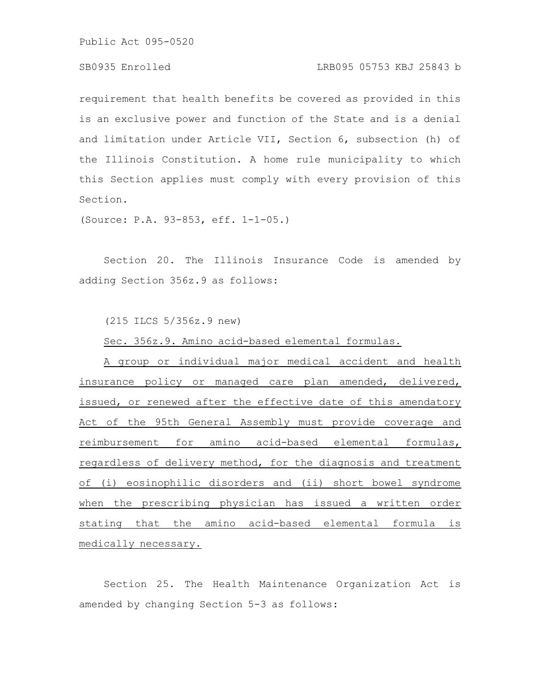### SB0935 Enrolled LRB095 05753 KBJ 25843 b

requirement that health benefits be covered as provided in this is an exclusive power and function of the State and is a denial and limitation under Article VII, Section 6, subsection (h) of the Illinois Constitution. A home rule municipality to which this Section applies must comply with every provision of this Section.

(Source: P.A. 93-853, eff. 1-1-05.)

Section 20. The Illinois Insurance Code is amended by adding Section 356z.9 as follows:

(215 ILCS 5/356z.9 new)

Sec. 356z.9. Amino acid-based elemental formulas.

A group or individual major medical accident and health insurance policy or managed care plan amended, delivered, issued, or renewed after the effective date of this amendatory Act of the 95th General Assembly must provide coverage and reimbursement for amino acid-based elemental formulas, regardless of delivery method, for the diagnosis and treatment of (i) eosinophilic disorders and (ii) short bowel syndrome when the prescribing physician has issued a written order stating that the amino acid-based elemental formula is medically necessary.

Section 25. The Health Maintenance Organization Act is amended by changing Section 5-3 as follows: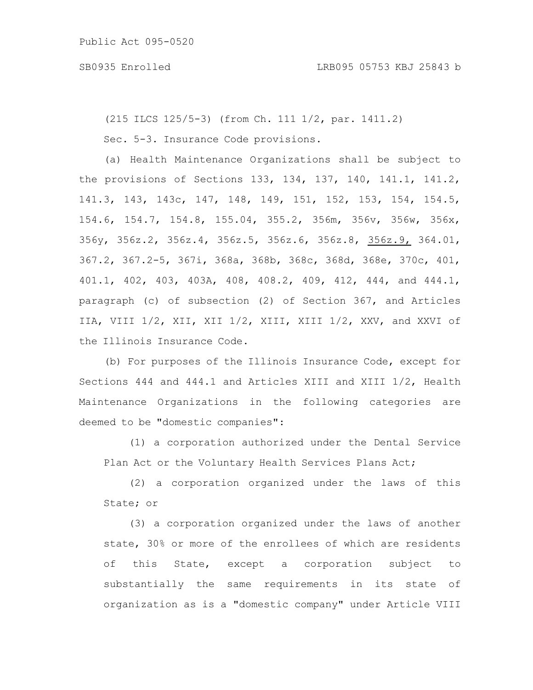(215 ILCS 125/5-3) (from Ch. 111 1/2, par. 1411.2)

Sec. 5-3. Insurance Code provisions.

(a) Health Maintenance Organizations shall be subject to the provisions of Sections 133, 134, 137, 140, 141.1, 141.2, 141.3, 143, 143c, 147, 148, 149, 151, 152, 153, 154, 154.5, 154.6, 154.7, 154.8, 155.04, 355.2, 356m, 356v, 356w, 356x, 356y, 356z.2, 356z.4, 356z.5, 356z.6, 356z.8, 356z.9, 364.01, 367.2, 367.2-5, 367i, 368a, 368b, 368c, 368d, 368e, 370c, 401, 401.1, 402, 403, 403A, 408, 408.2, 409, 412, 444, and 444.1, paragraph (c) of subsection (2) of Section 367, and Articles IIA, VIII 1/2, XII, XII 1/2, XIII, XIII 1/2, XXV, and XXVI of the Illinois Insurance Code.

(b) For purposes of the Illinois Insurance Code, except for Sections 444 and 444.1 and Articles XIII and XIII 1/2, Health Maintenance Organizations in the following categories are deemed to be "domestic companies":

(1) a corporation authorized under the Dental Service Plan Act or the Voluntary Health Services Plans Act;

(2) a corporation organized under the laws of this State; or

(3) a corporation organized under the laws of another state, 30% or more of the enrollees of which are residents of this State, except a corporation subject to substantially the same requirements in its state of organization as is a "domestic company" under Article VIII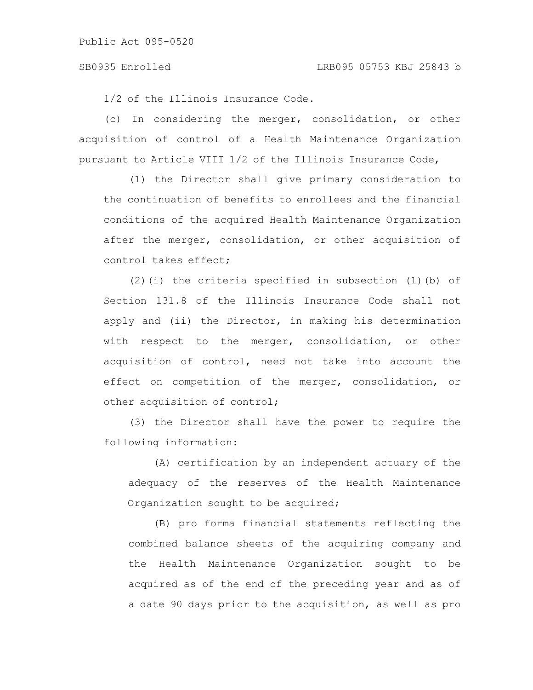1/2 of the Illinois Insurance Code.

(c) In considering the merger, consolidation, or other acquisition of control of a Health Maintenance Organization pursuant to Article VIII 1/2 of the Illinois Insurance Code,

(1) the Director shall give primary consideration to the continuation of benefits to enrollees and the financial conditions of the acquired Health Maintenance Organization after the merger, consolidation, or other acquisition of control takes effect:

 $(2)(i)$  the criteria specified in subsection  $(1)(b)$  of Section 131.8 of the Illinois Insurance Code shall not apply and (ii) the Director, in making his determination with respect to the merger, consolidation, or other acquisition of control, need not take into account the effect on competition of the merger, consolidation, or other acquisition of control;

(3) the Director shall have the power to require the following information:

(A) certification by an independent actuary of the adequacy of the reserves of the Health Maintenance Organization sought to be acquired;

(B) pro forma financial statements reflecting the combined balance sheets of the acquiring company and the Health Maintenance Organization sought to be acquired as of the end of the preceding year and as of a date 90 days prior to the acquisition, as well as pro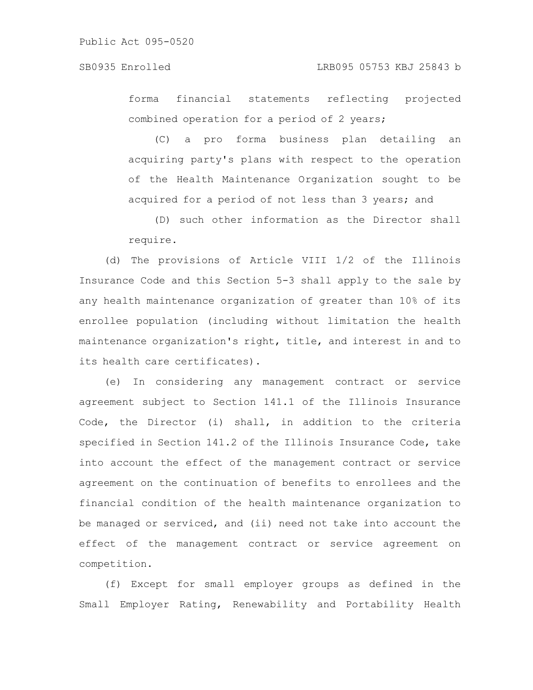forma financial statements reflecting projected combined operation for a period of 2 years;

(C) a pro forma business plan detailing an acquiring party's plans with respect to the operation of the Health Maintenance Organization sought to be acquired for a period of not less than 3 years; and

(D) such other information as the Director shall require.

(d) The provisions of Article VIII 1/2 of the Illinois Insurance Code and this Section 5-3 shall apply to the sale by any health maintenance organization of greater than 10% of its enrollee population (including without limitation the health maintenance organization's right, title, and interest in and to its health care certificates).

(e) In considering any management contract or service agreement subject to Section 141.1 of the Illinois Insurance Code, the Director (i) shall, in addition to the criteria specified in Section 141.2 of the Illinois Insurance Code, take into account the effect of the management contract or service agreement on the continuation of benefits to enrollees and the financial condition of the health maintenance organization to be managed or serviced, and (ii) need not take into account the effect of the management contract or service agreement on competition.

(f) Except for small employer groups as defined in the Small Employer Rating, Renewability and Portability Health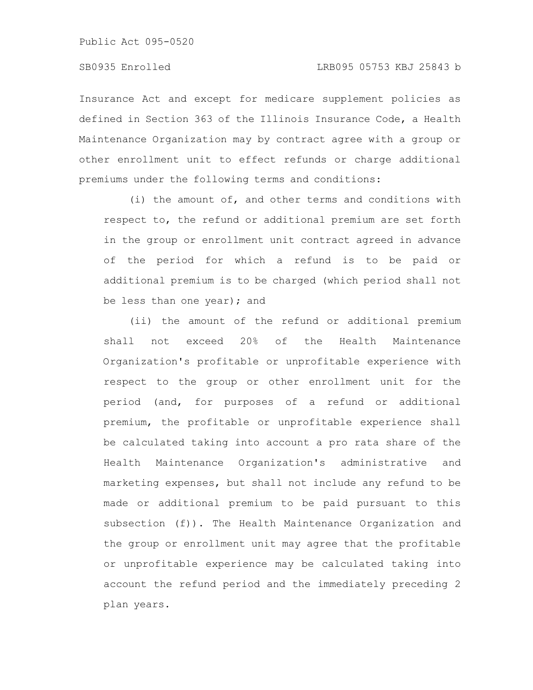Insurance Act and except for medicare supplement policies as defined in Section 363 of the Illinois Insurance Code, a Health Maintenance Organization may by contract agree with a group or other enrollment unit to effect refunds or charge additional premiums under the following terms and conditions:

(i) the amount of, and other terms and conditions with respect to, the refund or additional premium are set forth in the group or enrollment unit contract agreed in advance of the period for which a refund is to be paid or additional premium is to be charged (which period shall not be less than one year); and

(ii) the amount of the refund or additional premium shall not exceed 20% of the Health Maintenance Organization's profitable or unprofitable experience with respect to the group or other enrollment unit for the period (and, for purposes of a refund or additional premium, the profitable or unprofitable experience shall be calculated taking into account a pro rata share of the Health Maintenance Organization's administrative and marketing expenses, but shall not include any refund to be made or additional premium to be paid pursuant to this subsection (f)). The Health Maintenance Organization and the group or enrollment unit may agree that the profitable or unprofitable experience may be calculated taking into account the refund period and the immediately preceding 2 plan years.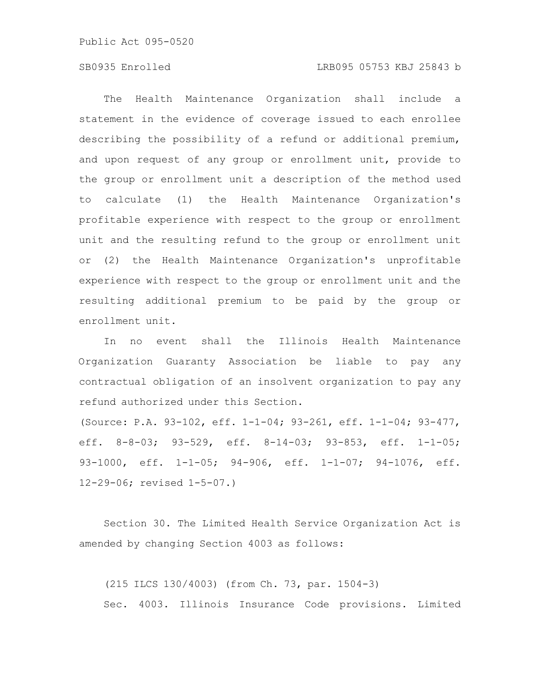#### SB0935 Enrolled LRB095 05753 KBJ 25843 b

The Health Maintenance Organization shall include a statement in the evidence of coverage issued to each enrollee describing the possibility of a refund or additional premium, and upon request of any group or enrollment unit, provide to the group or enrollment unit a description of the method used to calculate (1) the Health Maintenance Organization's profitable experience with respect to the group or enrollment unit and the resulting refund to the group or enrollment unit or (2) the Health Maintenance Organization's unprofitable experience with respect to the group or enrollment unit and the resulting additional premium to be paid by the group or enrollment unit.

In no event shall the Illinois Health Maintenance Organization Guaranty Association be liable to pay any contractual obligation of an insolvent organization to pay any refund authorized under this Section.

(Source: P.A. 93-102, eff. 1-1-04; 93-261, eff. 1-1-04; 93-477, eff. 8-8-03; 93-529, eff. 8-14-03; 93-853, eff. 1-1-05; 93-1000, eff. 1-1-05; 94-906, eff. 1-1-07; 94-1076, eff. 12-29-06; revised 1-5-07.)

Section 30. The Limited Health Service Organization Act is amended by changing Section 4003 as follows:

(215 ILCS 130/4003) (from Ch. 73, par. 1504-3) Sec. 4003. Illinois Insurance Code provisions. Limited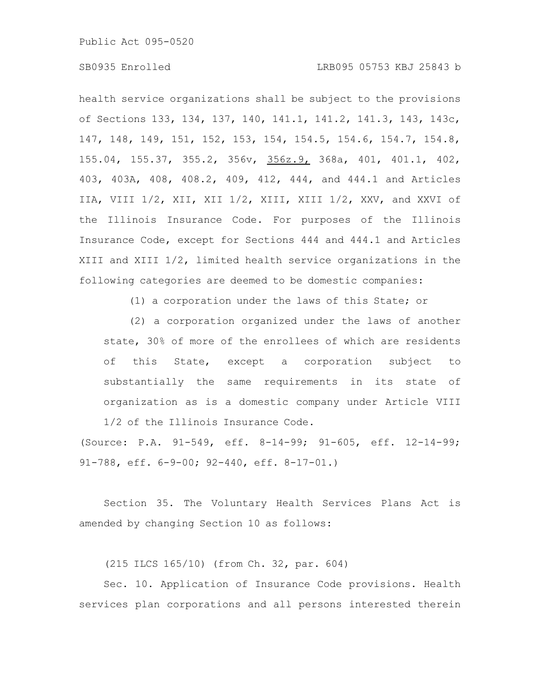### SB0935 Enrolled LRB095 05753 KBJ 25843 b

health service organizations shall be subject to the provisions of Sections 133, 134, 137, 140, 141.1, 141.2, 141.3, 143, 143c, 147, 148, 149, 151, 152, 153, 154, 154.5, 154.6, 154.7, 154.8, 155.04, 155.37, 355.2, 356v, 356z.9, 368a, 401, 401.1, 402, 403, 403A, 408, 408.2, 409, 412, 444, and 444.1 and Articles IIA, VIII 1/2, XII, XII 1/2, XIII, XIII 1/2, XXV, and XXVI of the Illinois Insurance Code. For purposes of the Illinois Insurance Code, except for Sections 444 and 444.1 and Articles XIII and XIII 1/2, limited health service organizations in the following categories are deemed to be domestic companies:

(1) a corporation under the laws of this State; or

(2) a corporation organized under the laws of another state, 30% of more of the enrollees of which are residents of this State, except a corporation subject to substantially the same requirements in its state of organization as is a domestic company under Article VIII 1/2 of the Illinois Insurance Code.

(Source: P.A. 91-549, eff. 8-14-99; 91-605, eff. 12-14-99; 91-788, eff. 6-9-00; 92-440, eff. 8-17-01.)

Section 35. The Voluntary Health Services Plans Act is amended by changing Section 10 as follows:

(215 ILCS 165/10) (from Ch. 32, par. 604)

Sec. 10. Application of Insurance Code provisions. Health services plan corporations and all persons interested therein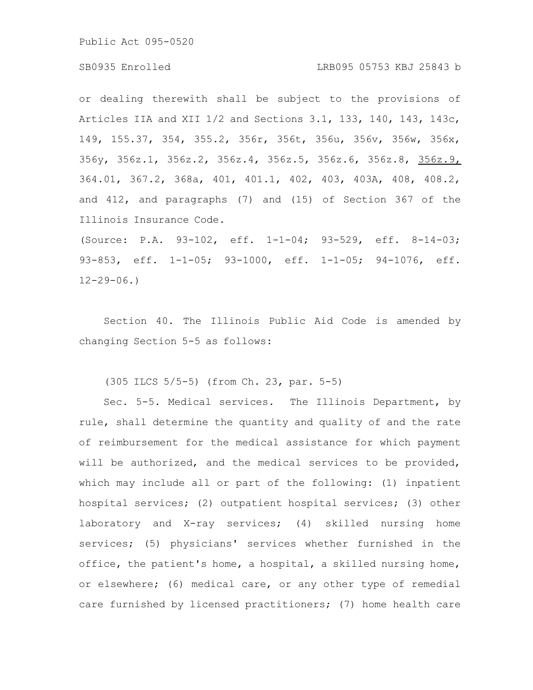#### SB0935 Enrolled LRB095 05753 KBJ 25843 b

or dealing therewith shall be subject to the provisions of Articles IIA and XII 1/2 and Sections 3.1, 133, 140, 143, 143c, 149, 155.37, 354, 355.2, 356r, 356t, 356u, 356v, 356w, 356x, 356y, 356z.1, 356z.2, 356z.4, 356z.5, 356z.6, 356z.8, 356z.9, 364.01, 367.2, 368a, 401, 401.1, 402, 403, 403A, 408, 408.2, and 412, and paragraphs (7) and (15) of Section 367 of the Illinois Insurance Code.

(Source: P.A. 93-102, eff. 1-1-04; 93-529, eff. 8-14-03; 93-853, eff. 1-1-05; 93-1000, eff. 1-1-05; 94-1076, eff. 12-29-06.)

Section 40. The Illinois Public Aid Code is amended by changing Section 5-5 as follows:

(305 ILCS 5/5-5) (from Ch. 23, par. 5-5)

Sec. 5-5. Medical services. The Illinois Department, by rule, shall determine the quantity and quality of and the rate of reimbursement for the medical assistance for which payment will be authorized, and the medical services to be provided, which may include all or part of the following: (1) inpatient hospital services; (2) outpatient hospital services; (3) other laboratory and X-ray services; (4) skilled nursing home services; (5) physicians' services whether furnished in the office, the patient's home, a hospital, a skilled nursing home, or elsewhere; (6) medical care, or any other type of remedial care furnished by licensed practitioners; (7) home health care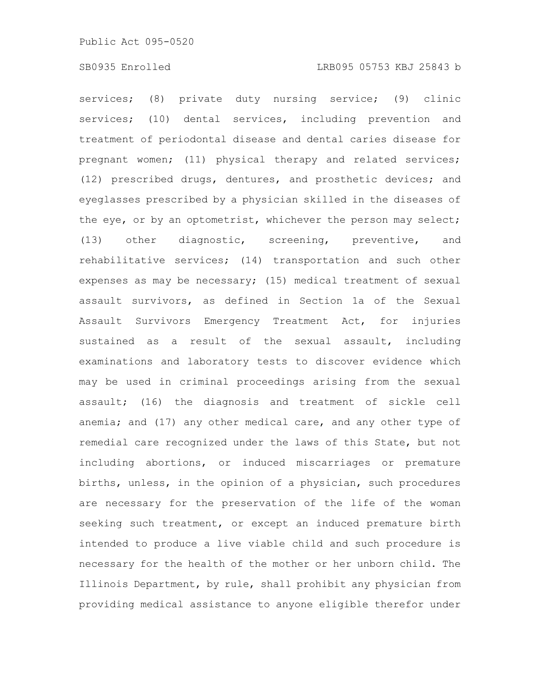services; (8) private duty nursing service; (9) clinic services; (10) dental services, including prevention and treatment of periodontal disease and dental caries disease for pregnant women; (11) physical therapy and related services; (12) prescribed drugs, dentures, and prosthetic devices; and eyeglasses prescribed by a physician skilled in the diseases of the eye, or by an optometrist, whichever the person may select; (13) other diagnostic, screening, preventive, and rehabilitative services; (14) transportation and such other expenses as may be necessary; (15) medical treatment of sexual assault survivors, as defined in Section 1a of the Sexual Assault Survivors Emergency Treatment Act, for injuries sustained as a result of the sexual assault, including examinations and laboratory tests to discover evidence which may be used in criminal proceedings arising from the sexual assault; (16) the diagnosis and treatment of sickle cell anemia; and (17) any other medical care, and any other type of remedial care recognized under the laws of this State, but not including abortions, or induced miscarriages or premature births, unless, in the opinion of a physician, such procedures are necessary for the preservation of the life of the woman seeking such treatment, or except an induced premature birth intended to produce a live viable child and such procedure is necessary for the health of the mother or her unborn child. The Illinois Department, by rule, shall prohibit any physician from providing medical assistance to anyone eligible therefor under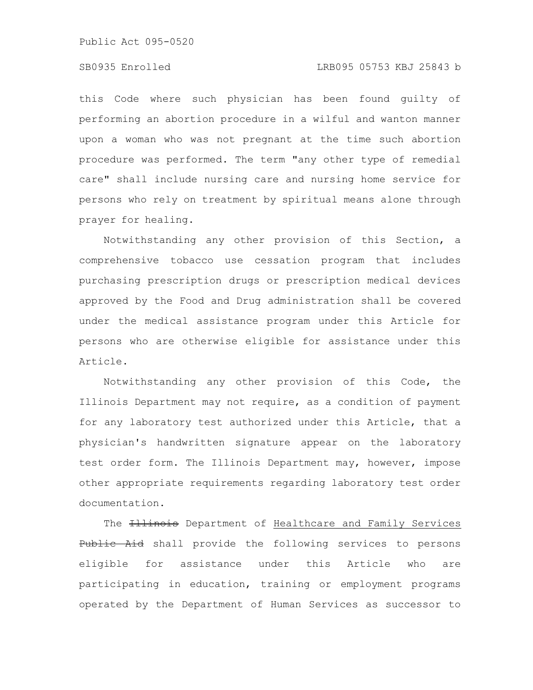#### SB0935 Enrolled LRB095 05753 KBJ 25843 b

this Code where such physician has been found guilty of performing an abortion procedure in a wilful and wanton manner upon a woman who was not pregnant at the time such abortion procedure was performed. The term "any other type of remedial care" shall include nursing care and nursing home service for persons who rely on treatment by spiritual means alone through prayer for healing.

Notwithstanding any other provision of this Section, a comprehensive tobacco use cessation program that includes purchasing prescription drugs or prescription medical devices approved by the Food and Drug administration shall be covered under the medical assistance program under this Article for persons who are otherwise eligible for assistance under this Article.

Notwithstanding any other provision of this Code, the Illinois Department may not require, as a condition of payment for any laboratory test authorized under this Article, that a physician's handwritten signature appear on the laboratory test order form. The Illinois Department may, however, impose other appropriate requirements regarding laboratory test order documentation.

The **Illinois** Department of Healthcare and Family Services Public Aid shall provide the following services to persons eligible for assistance under this Article who are participating in education, training or employment programs operated by the Department of Human Services as successor to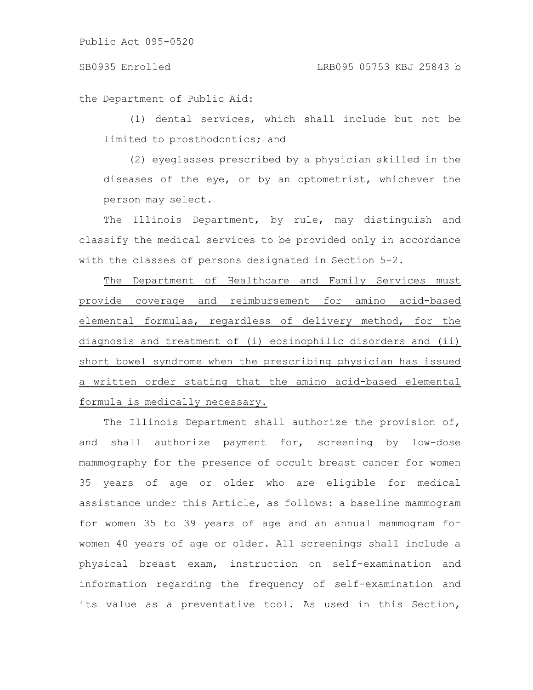the Department of Public Aid:

(1) dental services, which shall include but not be limited to prosthodontics; and

(2) eyeglasses prescribed by a physician skilled in the diseases of the eye, or by an optometrist, whichever the person may select.

The Illinois Department, by rule, may distinguish and classify the medical services to be provided only in accordance with the classes of persons designated in Section 5-2.

The Department of Healthcare and Family Services must provide coverage and reimbursement for amino acid-based elemental formulas, regardless of delivery method, for the diagnosis and treatment of (i) eosinophilic disorders and (ii) short bowel syndrome when the prescribing physician has issued a written order stating that the amino acid-based elemental formula is medically necessary.

The Illinois Department shall authorize the provision of, and shall authorize payment for, screening by low-dose mammography for the presence of occult breast cancer for women 35 years of age or older who are eligible for medical assistance under this Article, as follows: a baseline mammogram for women 35 to 39 years of age and an annual mammogram for women 40 years of age or older. All screenings shall include a physical breast exam, instruction on self-examination and information regarding the frequency of self-examination and its value as a preventative tool. As used in this Section,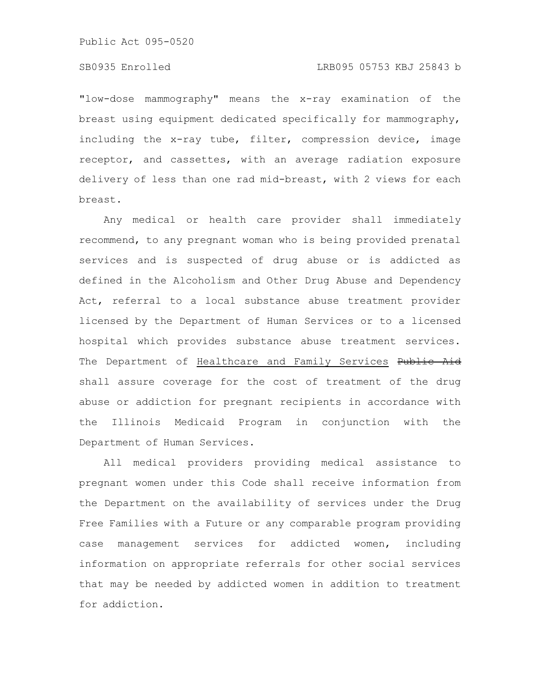#### SB0935 Enrolled LRB095 05753 KBJ 25843 b

"low-dose mammography" means the x-ray examination of the breast using equipment dedicated specifically for mammography, including the x-ray tube, filter, compression device, image receptor, and cassettes, with an average radiation exposure delivery of less than one rad mid-breast, with 2 views for each breast.

Any medical or health care provider shall immediately recommend, to any pregnant woman who is being provided prenatal services and is suspected of drug abuse or is addicted as defined in the Alcoholism and Other Drug Abuse and Dependency Act, referral to a local substance abuse treatment provider licensed by the Department of Human Services or to a licensed hospital which provides substance abuse treatment services. The Department of Healthcare and Family Services Public Aid shall assure coverage for the cost of treatment of the drug abuse or addiction for pregnant recipients in accordance with the Illinois Medicaid Program in conjunction with the Department of Human Services.

All medical providers providing medical assistance to pregnant women under this Code shall receive information from the Department on the availability of services under the Drug Free Families with a Future or any comparable program providing case management services for addicted women, including information on appropriate referrals for other social services that may be needed by addicted women in addition to treatment for addiction.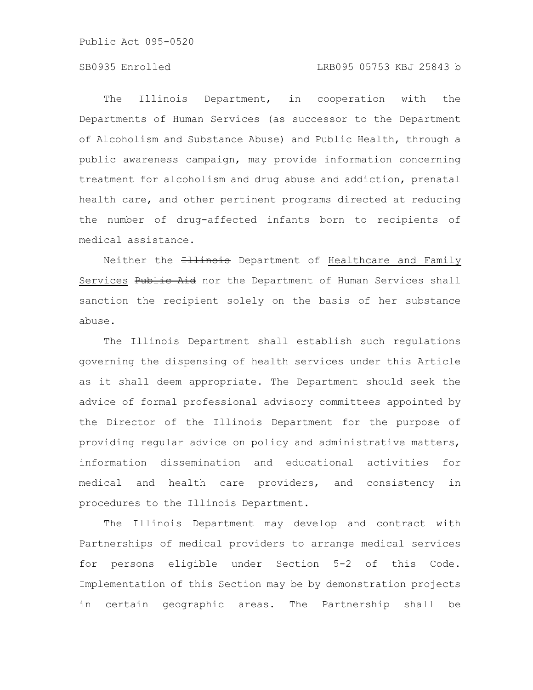### SB0935 Enrolled LRB095 05753 KBJ 25843 b

The Illinois Department, in cooperation with the Departments of Human Services (as successor to the Department of Alcoholism and Substance Abuse) and Public Health, through a public awareness campaign, may provide information concerning treatment for alcoholism and drug abuse and addiction, prenatal health care, and other pertinent programs directed at reducing the number of drug-affected infants born to recipients of medical assistance.

Neither the *Illinois* Department of Healthcare and Family Services Public Aid nor the Department of Human Services shall sanction the recipient solely on the basis of her substance abuse.

The Illinois Department shall establish such regulations governing the dispensing of health services under this Article as it shall deem appropriate. The Department should seek the advice of formal professional advisory committees appointed by the Director of the Illinois Department for the purpose of providing regular advice on policy and administrative matters, information dissemination and educational activities for medical and health care providers, and consistency in procedures to the Illinois Department.

The Illinois Department may develop and contract with Partnerships of medical providers to arrange medical services for persons eligible under Section 5-2 of this Code. Implementation of this Section may be by demonstration projects in certain geographic areas. The Partnership shall be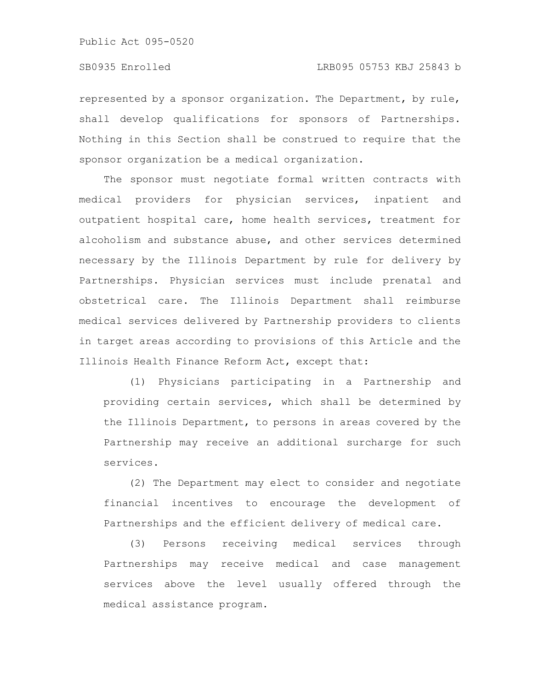represented by a sponsor organization. The Department, by rule, shall develop qualifications for sponsors of Partnerships. Nothing in this Section shall be construed to require that the sponsor organization be a medical organization.

The sponsor must negotiate formal written contracts with medical providers for physician services, inpatient and outpatient hospital care, home health services, treatment for alcoholism and substance abuse, and other services determined necessary by the Illinois Department by rule for delivery by Partnerships. Physician services must include prenatal and obstetrical care. The Illinois Department shall reimburse medical services delivered by Partnership providers to clients in target areas according to provisions of this Article and the Illinois Health Finance Reform Act, except that:

(1) Physicians participating in a Partnership and providing certain services, which shall be determined by the Illinois Department, to persons in areas covered by the Partnership may receive an additional surcharge for such services.

(2) The Department may elect to consider and negotiate financial incentives to encourage the development of Partnerships and the efficient delivery of medical care.

(3) Persons receiving medical services through Partnerships may receive medical and case management services above the level usually offered through the medical assistance program.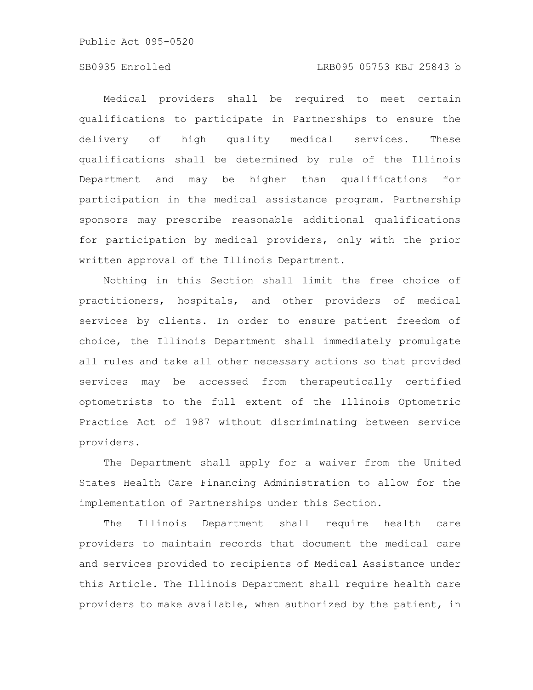### SB0935 Enrolled LRB095 05753 KBJ 25843 b

Medical providers shall be required to meet certain qualifications to participate in Partnerships to ensure the delivery of high quality medical services. These qualifications shall be determined by rule of the Illinois Department and may be higher than qualifications for participation in the medical assistance program. Partnership sponsors may prescribe reasonable additional qualifications for participation by medical providers, only with the prior written approval of the Illinois Department.

Nothing in this Section shall limit the free choice of practitioners, hospitals, and other providers of medical services by clients. In order to ensure patient freedom of choice, the Illinois Department shall immediately promulgate all rules and take all other necessary actions so that provided services may be accessed from therapeutically certified optometrists to the full extent of the Illinois Optometric Practice Act of 1987 without discriminating between service providers.

The Department shall apply for a waiver from the United States Health Care Financing Administration to allow for the implementation of Partnerships under this Section.

The Illinois Department shall require health care providers to maintain records that document the medical care and services provided to recipients of Medical Assistance under this Article. The Illinois Department shall require health care providers to make available, when authorized by the patient, in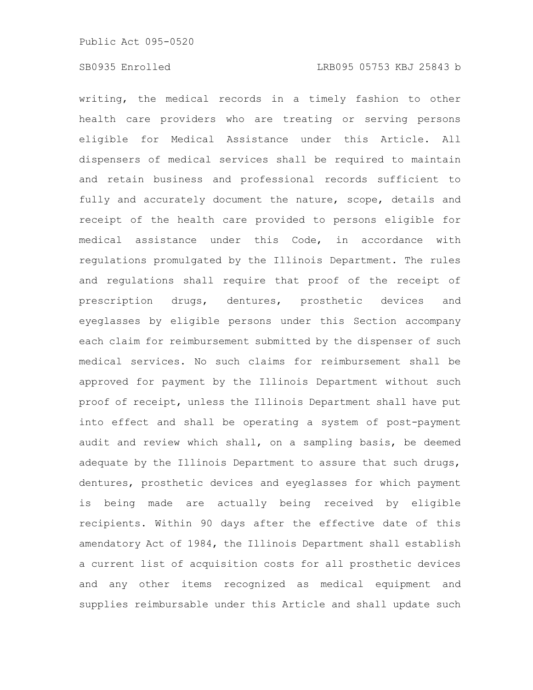#### SB0935 Enrolled LRB095 05753 KBJ 25843 b

writing, the medical records in a timely fashion to other health care providers who are treating or serving persons eligible for Medical Assistance under this Article. All dispensers of medical services shall be required to maintain and retain business and professional records sufficient to fully and accurately document the nature, scope, details and receipt of the health care provided to persons eligible for medical assistance under this Code, in accordance with regulations promulgated by the Illinois Department. The rules and regulations shall require that proof of the receipt of prescription drugs, dentures, prosthetic devices and eyeglasses by eligible persons under this Section accompany each claim for reimbursement submitted by the dispenser of such medical services. No such claims for reimbursement shall be approved for payment by the Illinois Department without such proof of receipt, unless the Illinois Department shall have put into effect and shall be operating a system of post-payment audit and review which shall, on a sampling basis, be deemed adequate by the Illinois Department to assure that such drugs, dentures, prosthetic devices and eyeglasses for which payment is being made are actually being received by eligible recipients. Within 90 days after the effective date of this amendatory Act of 1984, the Illinois Department shall establish a current list of acquisition costs for all prosthetic devices and any other items recognized as medical equipment and supplies reimbursable under this Article and shall update such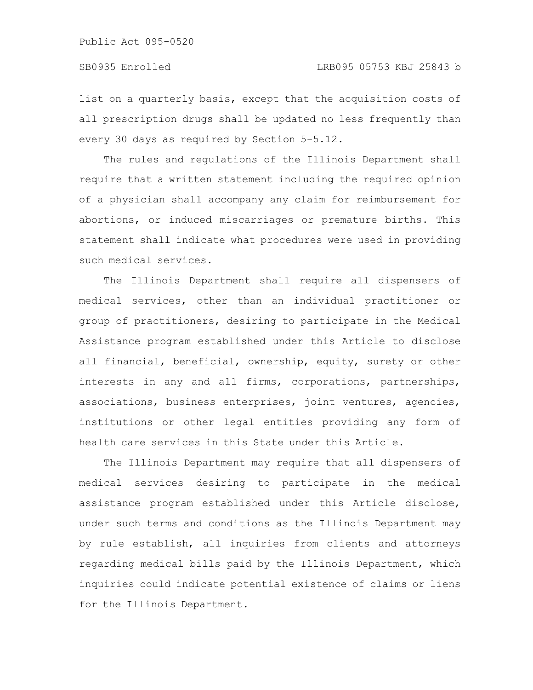list on a quarterly basis, except that the acquisition costs of all prescription drugs shall be updated no less frequently than every 30 days as required by Section 5-5.12.

The rules and regulations of the Illinois Department shall require that a written statement including the required opinion of a physician shall accompany any claim for reimbursement for abortions, or induced miscarriages or premature births. This statement shall indicate what procedures were used in providing such medical services.

The Illinois Department shall require all dispensers of medical services, other than an individual practitioner or group of practitioners, desiring to participate in the Medical Assistance program established under this Article to disclose all financial, beneficial, ownership, equity, surety or other interests in any and all firms, corporations, partnerships, associations, business enterprises, joint ventures, agencies, institutions or other legal entities providing any form of health care services in this State under this Article.

The Illinois Department may require that all dispensers of medical services desiring to participate in the medical assistance program established under this Article disclose, under such terms and conditions as the Illinois Department may by rule establish, all inquiries from clients and attorneys regarding medical bills paid by the Illinois Department, which inquiries could indicate potential existence of claims or liens for the Illinois Department.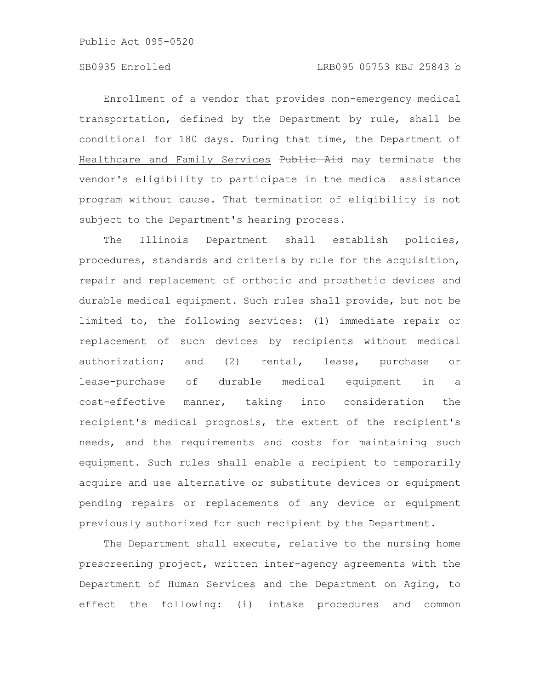Enrollment of a vendor that provides non-emergency medical transportation, defined by the Department by rule, shall be conditional for 180 days. During that time, the Department of Healthcare and Family Services Public Aid may terminate the vendor's eligibility to participate in the medical assistance program without cause. That termination of eligibility is not subject to the Department's hearing process.

The Illinois Department shall establish policies, procedures, standards and criteria by rule for the acquisition, repair and replacement of orthotic and prosthetic devices and durable medical equipment. Such rules shall provide, but not be limited to, the following services: (1) immediate repair or replacement of such devices by recipients without medical authorization; and (2) rental, lease, purchase or lease-purchase of durable medical equipment in a cost-effective manner, taking into consideration the recipient's medical prognosis, the extent of the recipient's needs, and the requirements and costs for maintaining such equipment. Such rules shall enable a recipient to temporarily acquire and use alternative or substitute devices or equipment pending repairs or replacements of any device or equipment previously authorized for such recipient by the Department.

The Department shall execute, relative to the nursing home prescreening project, written inter-agency agreements with the Department of Human Services and the Department on Aging, to effect the following: (i) intake procedures and common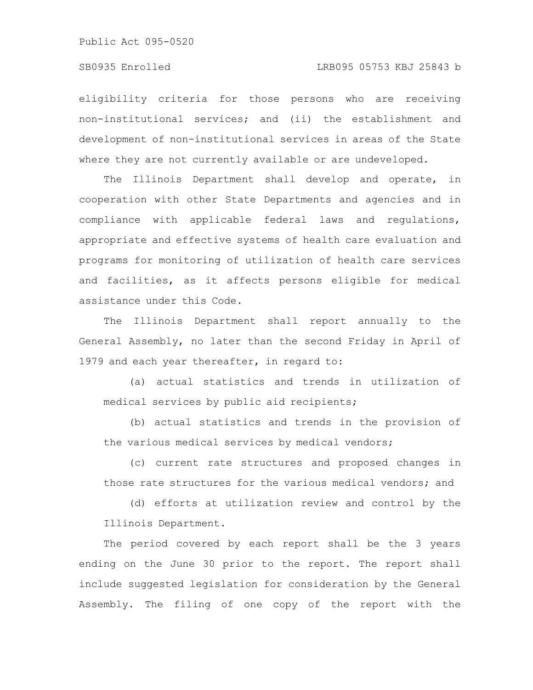eligibility criteria for those persons who are receiving non-institutional services; and (ii) the establishment and development of non-institutional services in areas of the State where they are not currently available or are undeveloped.

The Illinois Department shall develop and operate, in cooperation with other State Departments and agencies and in compliance with applicable federal laws and regulations, appropriate and effective systems of health care evaluation and programs for monitoring of utilization of health care services and facilities, as it affects persons eligible for medical assistance under this Code.

The Illinois Department shall report annually to the General Assembly, no later than the second Friday in April of 1979 and each year thereafter, in regard to:

(a) actual statistics and trends in utilization of medical services by public aid recipients;

(b) actual statistics and trends in the provision of the various medical services by medical vendors;

(c) current rate structures and proposed changes in those rate structures for the various medical vendors; and

(d) efforts at utilization review and control by the Illinois Department.

The period covered by each report shall be the 3 years ending on the June 30 prior to the report. The report shall include suggested legislation for consideration by the General Assembly. The filing of one copy of the report with the